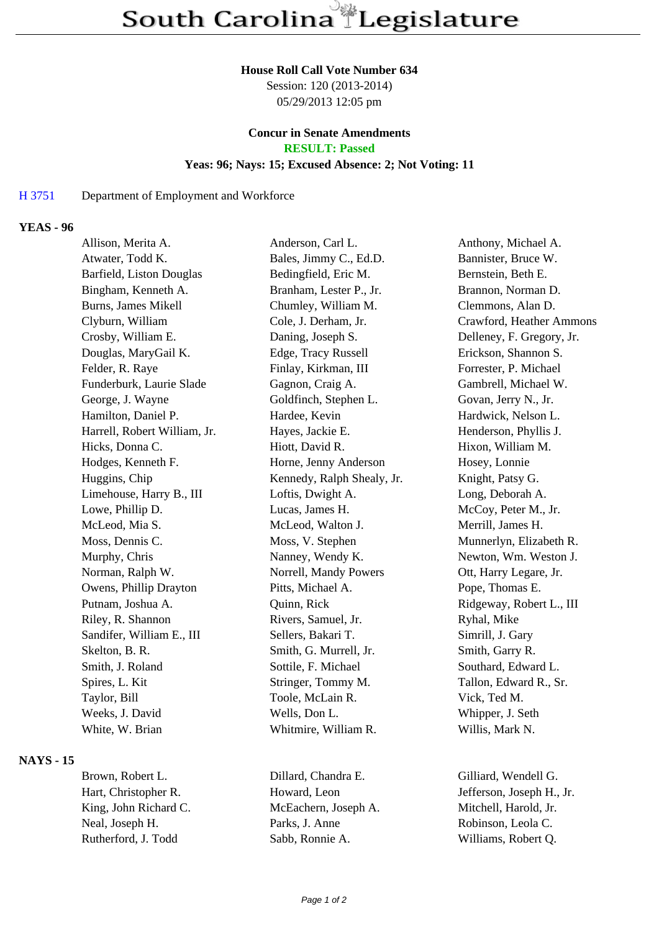#### **House Roll Call Vote Number 634**

Session: 120 (2013-2014) 05/29/2013 12:05 pm

# **Concur in Senate Amendments**

**RESULT: Passed**

# **Yeas: 96; Nays: 15; Excused Absence: 2; Not Voting: 11**

### H 3751 Department of Employment and Workforce

## **YEAS - 96**

| Allison, Merita A.           | Anderson, Carl L.          | Anthony, Michael A.       |
|------------------------------|----------------------------|---------------------------|
| Atwater, Todd K.             | Bales, Jimmy C., Ed.D.     | Bannister, Bruce W.       |
| Barfield, Liston Douglas     | Bedingfield, Eric M.       | Bernstein, Beth E.        |
| Bingham, Kenneth A.          | Branham, Lester P., Jr.    | Brannon, Norman D.        |
| <b>Burns, James Mikell</b>   | Chumley, William M.        | Clemmons, Alan D.         |
| Clyburn, William             | Cole, J. Derham, Jr.       | Crawford, Heather Ammons  |
| Crosby, William E.           | Daning, Joseph S.          | Delleney, F. Gregory, Jr. |
| Douglas, MaryGail K.         | Edge, Tracy Russell        | Erickson, Shannon S.      |
| Felder, R. Raye              | Finlay, Kirkman, III       | Forrester, P. Michael     |
| Funderburk, Laurie Slade     | Gagnon, Craig A.           | Gambrell, Michael W.      |
| George, J. Wayne             | Goldfinch, Stephen L.      | Govan, Jerry N., Jr.      |
| Hamilton, Daniel P.          | Hardee, Kevin              | Hardwick, Nelson L.       |
| Harrell, Robert William, Jr. | Hayes, Jackie E.           | Henderson, Phyllis J.     |
| Hicks, Donna C.              | Hiott, David R.            | Hixon, William M.         |
| Hodges, Kenneth F.           | Horne, Jenny Anderson      | Hosey, Lonnie             |
| Huggins, Chip                | Kennedy, Ralph Shealy, Jr. | Knight, Patsy G.          |
| Limehouse, Harry B., III     | Loftis, Dwight A.          | Long, Deborah A.          |
| Lowe, Phillip D.             | Lucas, James H.            | McCoy, Peter M., Jr.      |
| McLeod, Mia S.               | McLeod, Walton J.          | Merrill, James H.         |
| Moss, Dennis C.              | Moss, V. Stephen           | Munnerlyn, Elizabeth R.   |
| Murphy, Chris                | Nanney, Wendy K.           | Newton, Wm. Weston J.     |
| Norman, Ralph W.             | Norrell, Mandy Powers      | Ott, Harry Legare, Jr.    |
| Owens, Phillip Drayton       | Pitts, Michael A.          | Pope, Thomas E.           |
| Putnam, Joshua A.            | Quinn, Rick                | Ridgeway, Robert L., III  |
| Riley, R. Shannon            | Rivers, Samuel, Jr.        | Ryhal, Mike               |
| Sandifer, William E., III    | Sellers, Bakari T.         | Simrill, J. Gary          |
| Skelton, B. R.               | Smith, G. Murrell, Jr.     | Smith, Garry R.           |
| Smith, J. Roland             | Sottile, F. Michael        | Southard, Edward L.       |
| Spires, L. Kit               | Stringer, Tommy M.         | Tallon, Edward R., Sr.    |
| Taylor, Bill                 | Toole, McLain R.           | Vick, Ted M.              |
| Weeks, J. David              | Wells, Don L.              | Whipper, J. Seth          |
| White, W. Brian              | Whitmire, William R.       | Willis, Mark N.           |
|                              |                            |                           |

#### **NAYS - 15**

Hart, Christopher R. **Howard, Leon** Jefferson, Joseph H., Jr. King, John Richard C. McEachern, Joseph A. Mitchell, Harold, Jr. Neal, Joseph H. Parks, J. Anne Robinson, Leola C. Rutherford, J. Todd Sabb, Ronnie A. Williams, Robert Q.

Brown, Robert L. Dillard, Chandra E. Gilliard, Wendell G.